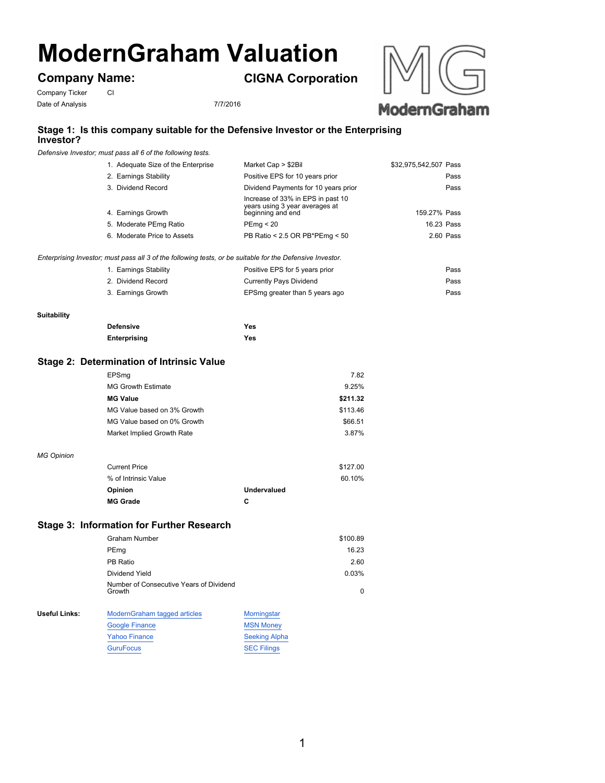# **ModernGraham Valuation**

**Company Name:**

**CIGNA Corporation**





# **Stage 1: Is this company suitable for the Defensive Investor or the Enterprising Investor?**

*Defensive Investor; must pass all 6 of the following tests.*

| 1. Adequate Size of the Enterprise | Market Cap > \$2Bil                                                                      | \$32,975,542,507 Pass |
|------------------------------------|------------------------------------------------------------------------------------------|-----------------------|
| 2. Earnings Stability              | Positive EPS for 10 years prior                                                          | Pass                  |
| 3. Dividend Record                 | Dividend Payments for 10 years prior                                                     | Pass                  |
| 4. Earnings Growth                 | Increase of 33% in EPS in past 10<br>years using 3 year averages at<br>beginning and end | 159.27% Pass          |
| 5. Moderate PEmg Ratio             | PEmq < 20                                                                                | 16.23 Pass            |
| 6. Moderate Price to Assets        | PB Ratio < 2.5 OR PB*PEmg < 50                                                           | 2.60 Pass             |
|                                    |                                                                                          |                       |

1. Earnings Stability Positive EPS for 5 years prior Pass 2. Dividend Record **Currently Pays Dividend Currently Pays Dividend Pass** 3. Earnings Growth EPSmg greater than 5 years ago Pass *Enterprising Investor; must pass all 3 of the following tests, or be suitable for the Defensive Investor.*

#### **Suitability**

| <b>Defensive</b>    | Yes |
|---------------------|-----|
| <b>Enterprising</b> | Yes |

## **Stage 2: Determination of Intrinsic Value**

| EPSmq                       | 7.82     |
|-----------------------------|----------|
| <b>MG Growth Estimate</b>   | 9.25%    |
| <b>MG Value</b>             | \$211.32 |
| MG Value based on 3% Growth | \$113.46 |
| MG Value based on 0% Growth | \$66.51  |
| Market Implied Growth Rate  | 3.87%    |
|                             |          |

#### *MG Opinion*

| <b>Current Price</b> |                    | \$127.00 |
|----------------------|--------------------|----------|
| % of Intrinsic Value |                    | 60.10%   |
| Opinion              | <b>Undervalued</b> |          |
| <b>MG Grade</b>      | c                  |          |

## **Stage 3: Information for Further Research**

|               | Graham Number                                     |                  | \$100.89 |
|---------------|---------------------------------------------------|------------------|----------|
|               | PEmg                                              |                  | 16.23    |
|               | PB Ratio                                          |                  | 2.60     |
|               | Dividend Yield                                    |                  | 0.03%    |
|               | Number of Consecutive Years of Dividend<br>Growth |                  | $\Omega$ |
| Useful Links: | ModernGraham tagged articles                      | Morningstar      |          |
|               | <b>Google Finance</b>                             | <b>MSN Money</b> |          |

| Google Finance       | <b>MSN MONEY</b>     |
|----------------------|----------------------|
| <b>Yahoo Finance</b> | <b>Seeking Alpha</b> |
| <b>GuruFocus</b>     | <b>SEC Filings</b>   |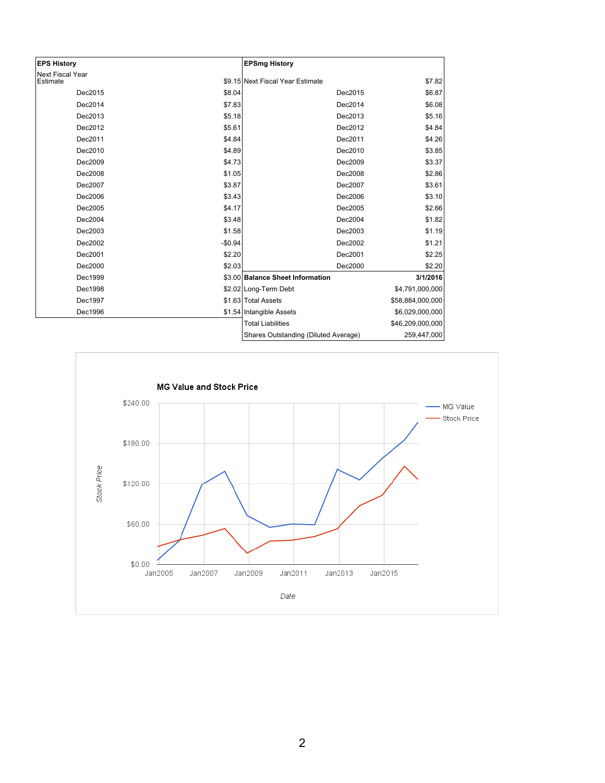| <b>EPS History</b>                  |          | <b>EPSmg History</b>                 |                  |
|-------------------------------------|----------|--------------------------------------|------------------|
| <b>Next Fiscal Year</b><br>Estimate |          | \$9.15 Next Fiscal Year Estimate     | \$7.82           |
| Dec2015                             | \$8.04   | Dec2015                              | \$6.87           |
| Dec2014                             | \$7.83   | Dec2014                              | \$6.08           |
| Dec2013                             | \$5.18   | Dec2013                              | \$5.16           |
| Dec2012                             | \$5.61   | Dec2012                              | \$4.84           |
| Dec2011                             | \$4.84   | Dec2011                              | \$4.26           |
| Dec2010                             | \$4.89   | Dec2010                              | \$3.85           |
| Dec2009                             | \$4.73   | Dec2009                              | \$3.37           |
| Dec2008                             | \$1.05   | Dec2008                              | \$2.86           |
| Dec2007                             | \$3.87   | Dec2007                              | \$3.61           |
| Dec2006                             | \$3.43   | Dec2006                              | \$3.10           |
| Dec2005                             | \$4.17   | Dec2005                              | \$2.66           |
| Dec2004                             | \$3.48   | Dec2004                              | \$1.82           |
| Dec2003                             | \$1.58   | Dec2003                              | \$1.19           |
| Dec2002                             | $-$0.94$ | Dec2002                              | \$1.21           |
| Dec2001                             | \$2.20   | Dec2001                              | \$2.25           |
| Dec2000                             | \$2.03   | Dec2000                              | \$2.20           |
| Dec1999                             |          | \$3.00 Balance Sheet Information     | 3/1/2016         |
| Dec1998                             |          | \$2.02 Long-Term Debt                | \$4,791,000,000  |
| Dec1997                             |          | \$1.63 Total Assets                  | \$58,884,000,000 |
| Dec1996                             |          | \$1.54 Intangible Assets             | \$6,029,000,000  |
|                                     |          | <b>Total Liabilities</b>             | \$46,209,000,000 |
|                                     |          | Shares Outstanding (Diluted Average) | 259,447,000      |